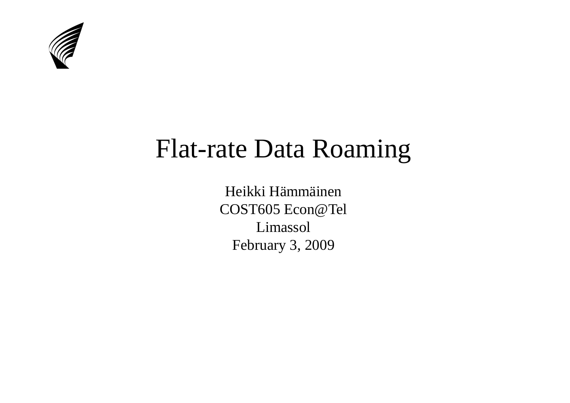

#### Flat-rate Data Roaming

Heikki Hämmäinen COST605 Econ@TelLimassolFebruary 3, 2009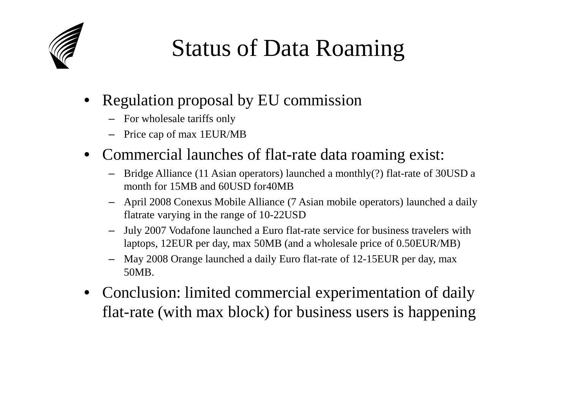

#### Status of Data Roaming

- • Regulation proposal by EU commission
	- For wholesale tariffs only
	- Price cap of max 1EUR/MB
- Commercial launches of flat-rate data roaming exist:
	- Bridge Alliance (11 Asian operators) launched a monthly(?) flat-rate of 30USD a month for 15MB and 60USD for40MB
	- April 2008 Conexus Mobile Alliance (7 Asian mobile operators) launched a daily –flatrate varying in the range of 10-22USD
	- July 2007 Vodafone launched a Euro flat-rate service for business travelers with –laptops, 12EUR per day, max 50MB (and a wholesale price of 0.50EUR/MB)
	- – May 2008 Orange launched a daily Euro flat-rate of 12-15EUR per day, max 50MB.
- Conclusion: limited commercial experimentation of daily flat-rate (with max block) for business users is happening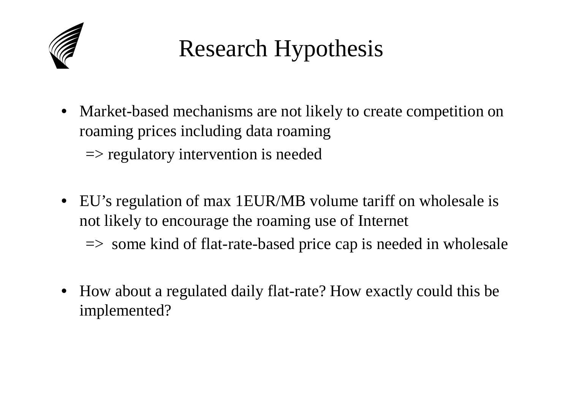

### Research Hypothesis

- • Market-based mechanisms are not likely to create competition on roaming prices including data roaming $\Rightarrow$  regulatory intervention is needed
- EU's regulation of max 1EUR/MB volume tariff on wholesale is not likely to encourage the roaming use of Internet

 $\Rightarrow$  some kind of flat-rate-based price cap is needed in wholesale

• How about a regulated daily flat-rate? How exactly could this be implemented?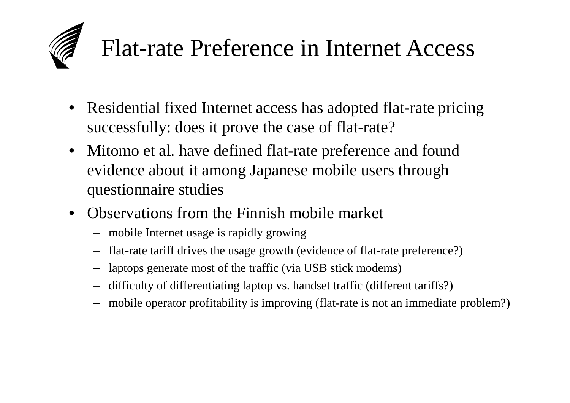# Flat-rate Preference in Internet Access

- • Residential fixed Internet access has adopted flat-rate pricing successfully: does it prove the case of flat-rate?
- Mitomo et al. have defined flat-rate preference and found evidence about it among Japanese mobile users through questionnaire studies
- Observations from the Finnish mobile market
	- mobile Internet usage is rapidly growing
	- flat-rate tariff drives the usage growth (evidence of flat-rate preference?)
	- laptops generate most of the traffic (via USB stick modems)
	- difficulty of differentiating laptop vs. handset traffic (different tariffs?)
	- mobile operator profitability is improving (flat-rate is not an immediate problem?)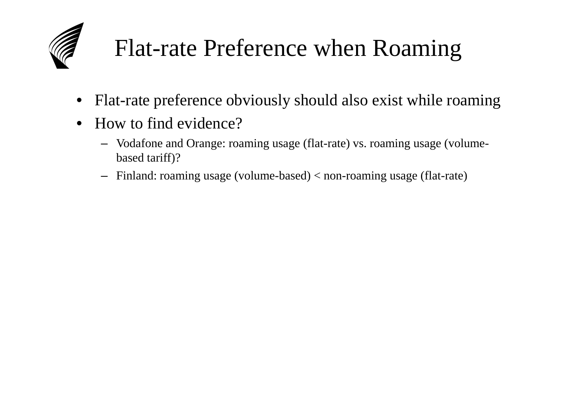

### Flat-rate Preference when Roaming

- •Flat-rate preference obviously should also exist while roaming
- $\bullet$  How to find evidence?
	- Vodafone and Orange: roaming usage (flat-rate) vs. roaming usage (volumebased tariff)?
	- Finland: roaming usage (volume-based) < non-roaming usage (flat-rate)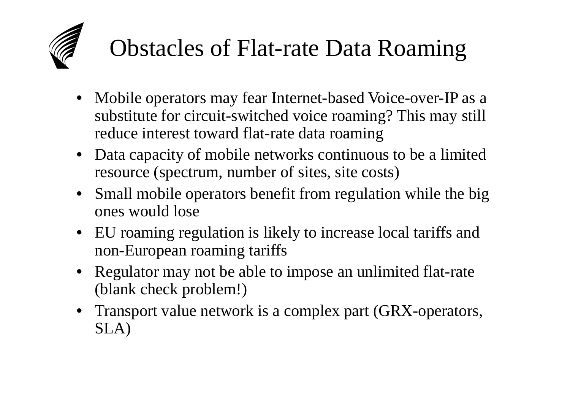#### Obstacles of Flat-rate Data Roaming

- • Mobile operators may fear Internet-based Voice-over-IP as a substitute for circuit-switched voice roaming? This may still reduce interest toward flat-rate data roaming
- Data capacity of mobile networks continuous to be a limited resource (spectrum, number of sites, site costs)
- • Small mobile operators benefit from regulation while the big ones would lose
- EU roaming regulation is likely to increase local tariffs and non-European roaming tariffs
- Regulator may not be able to impose an unlimited flat-rate (blank check problem!)
- Transport value network is a complex part (GRX-operators, SLA)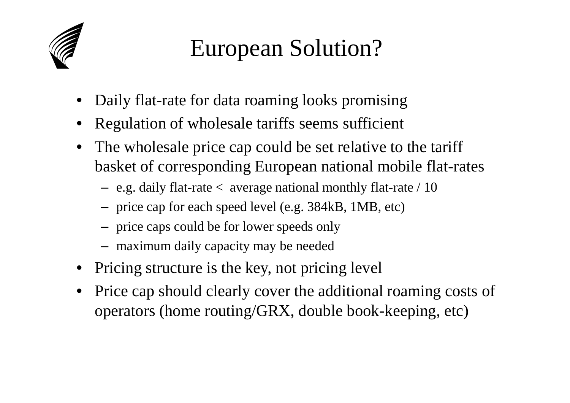

#### European Solution?

- •Daily flat-rate for data roaming looks promising
- •Regulation of wholesale tariffs seems sufficient
- • The wholesale price cap could be set relative to the tariff basket of corresponding European national mobile flat-rates
	- $-$  e.g. daily flat-rate  $<$  average national monthly flat-rate  $/$  10
	- price cap for each speed level (e.g. 384kB, 1MB, etc)
	- price caps could be for lower speeds only
	- maximum daily capacity may be needed
- •Pricing structure is the key, not pricing level
- • Price cap should clearly cover the additional roaming costs of operators (home routing/GRX, double book-keeping, etc)